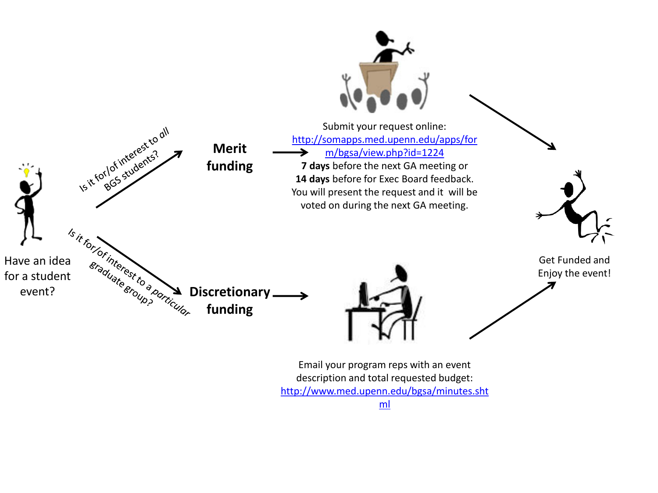

Email your program reps with an event description and total requested budget: [http://www.med.upenn.edu/bgsa/minutes.sht](http://www.med.upenn.edu/bgsa/minutes.shtml)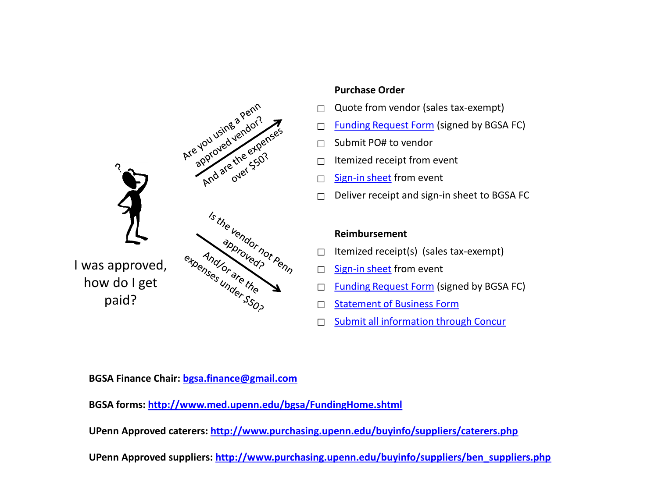

#### **Purchase Order**

- $\Box$  Quote from vendor (sales tax-exempt)
- □ [Funding Request Form](http://www.med.upenn.edu/bgsa/documents/FundingRequestForm.doc) (signed by BGSA FC)
- $\Box$  Submit PO# to vendor
- $\Box$  Itemized receipt from event
- □ [Sign-](http://www.med.upenn,edu/bgsa/FundingHome.shtml)[in sheet](http://www.med.upenn.edu/bgsa/documents/BGSASignInSheet.pdf) from event
- □ Deliver receipt and sign-in sheet to BGSA FC

### **Reimbursement**

- $\Box$  Itemized receipt(s) (sales tax-exempt)
- □ [Sign-in sheet](http://www.med.upenn.edu/bgsa/documents/BGSASignInSheet.pdf) from event
- □ [Funding Request Form](http://www.med.upenn.edu/bgsa/documents/FundingRequestForm.doc) (signed by BGSA FC)
- □ [Statement](http://www.med.upenn.edu/bgsa/documents/StatementofBusinessForm.doc) [of Business Form](http://www.med.upenn.edu/bgsa/documents/StatementofBusinessForm.doc)
- □ [Submit all information through Concur](https://www.concursolutions.com/portal.asp)

**BGSA Finance Chair: [bgsa.finance@gmail.com](mailto:bgsa.finance@gmail.com?subject=Quote and Funding Request Form submission)**

**BGSA forms: <http://www.med.upenn.edu/bgsa/FundingHome.shtml>**

**UPenn Approved caterers:<http://www.purchasing.upenn.edu/buyinfo/suppliers/caterers.php>**

**UPenn Approved suppliers: [http://www.purchasing.upenn.edu/buyinfo/suppliers/ben\\_suppliers.php](http://www.purchasing.upenn.edu/buyinfo/suppliers/ben_suppliers.php)**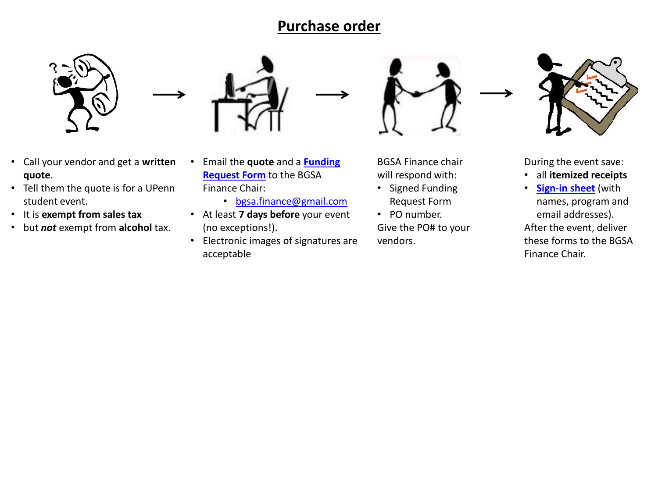## **Purchase order**



- Call your vendor and get a **written quote**.
- Tell them the quote is for a UPenn student event.
- It is **exempt from sales tax**
- but *not* exempt from **alcohol** tax.



- Email the **quote** and a **[Funding](http://www.med.upenn.edu/bgsa/documents/FundingRequestForm.doc)  [Request Form](http://www.med.upenn.edu/bgsa/documents/FundingRequestForm.doc)** to the BGSA Finance Chair:
	- [bgsa.finance@gmail.com](mailto:bgsa.finance@gmail.com?subject=Quote and Funding Request Form submission)
- At least **7 days before** your event (no exceptions!).
- Electronic images of signatures are acceptable





During the event save:

- all **itemized receipts**
- **[Sign-in sheet](http://www.med.upenn.edu/bgsa/documents/BGSASignInSheet.pdf)** (with names, program and email addresses). After the event, deliver these forms to the BGSA Finance Chair.

BGSA Finance chair will respond with:

- Signed Funding Request Form
- PO number.

Give the PO# to your vendors.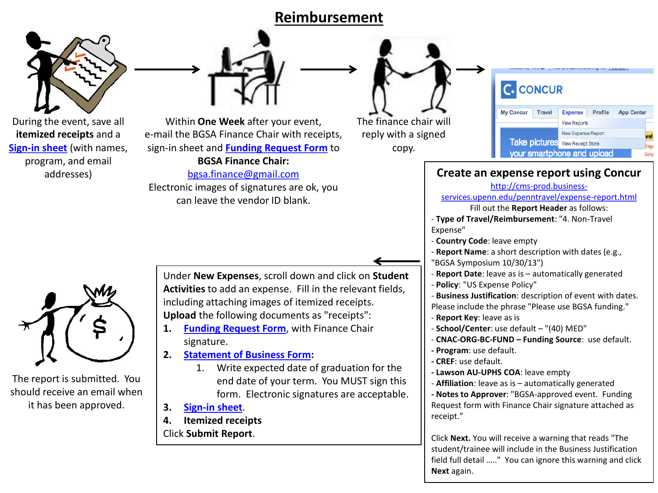### **Reimbursement**